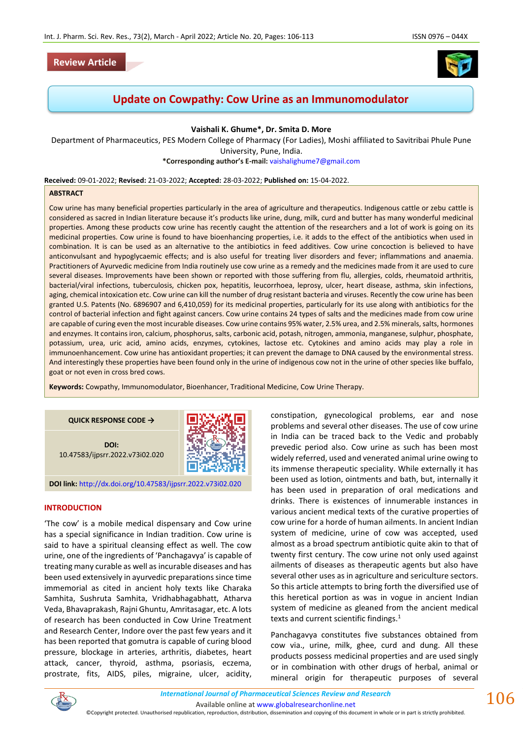

# **Update on Cowpathy: Cow Urine as an Immunomodulator**

**Vaishali K. Ghume\*, Dr. Smita D. More**

Department of Pharmaceutics, PES Modern College of Pharmacy (For Ladies), Moshi affiliated to Savitribai Phule Pune University, Pune, India. **\*Corresponding author's E-mail:** [vaishalighume7@gmail.com](mailto:vaishalighume7@gmail.com)

**Received:** 09-01-2022; **Revised:** 21-03-2022; **Accepted:** 28-03-2022; **Published on:** 15-04-2022.

#### **ABSTRACT**

Cow urine has many beneficial properties particularly in the area of agriculture and therapeutics. Indigenous cattle or zebu cattle is considered as sacred in Indian literature because it's products like urine, dung, milk, curd and butter has many wonderful medicinal properties. Among these products cow urine has recently caught the attention of the researchers and a lot of work is going on its medicinal properties. Cow urine is found to have bioenhancing properties, i.e. it adds to the effect of the antibiotics when used in combination. It is can be used as an alternative to the antibiotics in feed additives. Cow urine concoction is believed to have anticonvulsant and hypoglycaemic effects; and is also useful for treating liver disorders and fever; inflammations and anaemia. Practitioners of Ayurvedic medicine from India routinely use cow urine as a remedy and the medicines made from it are used to cure several diseases. Improvements have been shown or reported with those suffering from flu, allergies, colds, rheumatoid arthritis, bacterial/viral infections, tuberculosis, chicken pox, hepatitis, leucorrhoea, leprosy, ulcer, heart disease, asthma, skin infections, aging, chemical intoxication etc. Cow urine can kill the number of drug resistant bacteria and viruses. Recently the cow urine has been granted U.S. Patents (No. 6896907 and 6,410,059) for its medicinal properties, particularly for its use along with antibiotics for the control of bacterial infection and fight against cancers. Cow urine contains 24 types of salts and the medicines made from cow urine are capable of curing even the most incurable diseases. Cow urine contains 95% water, 2.5% urea, and 2.5% minerals, salts, hormones and enzymes. It contains iron, calcium, phosphorus, salts, carbonic acid, potash, nitrogen, ammonia, manganese, sulphur, phosphate, potassium, urea, uric acid, amino acids, enzymes, cytokines, lactose etc. Cytokines and amino acids may play a role in immunoenhancement. Cow urine has antioxidant properties; it can prevent the damage to DNA caused by the environmental stress. And interestingly these properties have been found only in the urine of indigenous cow not in the urine of other species like buffalo, goat or not even in cross bred cows.

**Keywords:** Cowpathy, Immunomodulator, Bioenhancer, Traditional Medicine, Cow Urine Therapy.

#### **QUICK RESPONSE CODE →**

**DOI:** 10.47583/ijpsrr.2022.v73i02.020



**DOI link:** <http://dx.doi.org/10.47583/ijpsrr.2022.v73i02.020>

#### **INTRODUCTION**

'The cow' is a mobile medical dispensary and Cow urine has a special significance in Indian tradition. Cow urine is said to have a spiritual cleansing effect as well. The cow urine, one of the ingredients of 'Panchagavya' is capable of treating many curable as well as incurable diseases and has been used extensively in ayurvedic preparations since time immemorial as cited in ancient holy texts like Charaka Samhita, Sushruta Samhita, Vridhabhagabhatt, Atharva Veda, Bhavaprakash, Rajni Ghuntu, Amritasagar, etc. A lots of research has been conducted in Cow Urine Treatment and Research Center, Indore over the past few years and it has been reported that gomutra is capable of curing blood pressure, blockage in arteries, arthritis, diabetes, heart attack, cancer, thyroid, asthma, psoriasis, eczema, prostrate, fits, AIDS, piles, migraine, ulcer, acidity,

constipation, gynecological problems, ear and nose problems and several other diseases. The use of cow urine in India can be traced back to the Vedic and probably prevedic period also. Cow urine as such has been most widely referred, used and venerated animal urine owing to its immense therapeutic speciality. While externally it has been used as lotion, ointments and bath, but, internally it has been used in preparation of oral medications and drinks. There is existences of innumerable instances in various ancient medical texts of the curative properties of cow urine for a horde of human ailments. In ancient Indian system of medicine, urine of cow was accepted, used almost as a broad spectrum antibiotic quite akin to that of twenty first century. The cow urine not only used against ailments of diseases as therapeutic agents but also have several other uses as in agriculture and sericulture sectors. So this article attempts to bring forth the diversified use of this heretical portion as was in vogue in ancient Indian system of medicine as gleaned from the ancient medical texts and current scientific findings.<sup>1</sup>

Panchagavya constitutes five substances obtained from cow via., urine, milk, ghee, curd and dung. All these products possess medicinal properties and are used singly or in combination with other drugs of herbal, animal or mineral origin for therapeutic purposes of several



*International Journal of Pharmaceutical Sciences Review and Research International Journal of Pharmaceutical Sciences Review and Research* Available online a[t www.globalresearchonline.net](http://www.globalresearchonline.net/)

©Copyright protected. Unauthorised republication, reproduction, distribution, dissemination and copying of this document in whole or in part is strictly prohibited.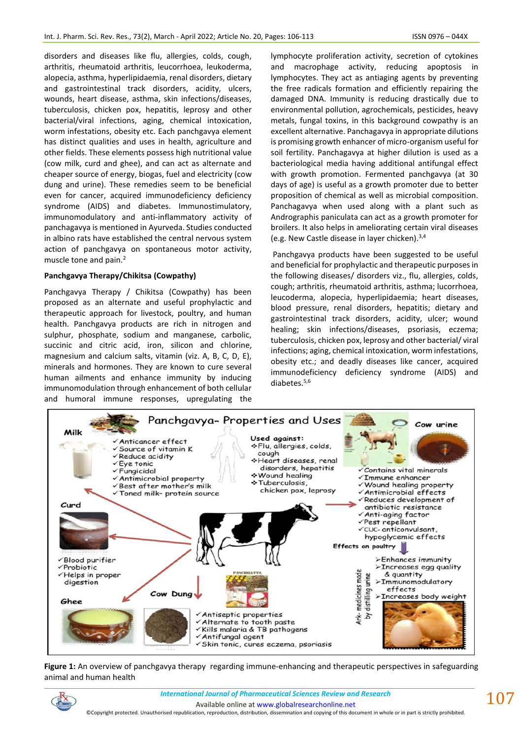disorders and diseases like flu, allergies, colds, cough, arthritis, rheumatoid arthritis, leucorrhoea, leukoderma, alopecia, asthma, hyperlipidaemia, renal disorders, dietary and gastrointestinal track disorders, acidity, ulcers, wounds, heart disease, asthma, skin infections/diseases, tuberculosis, chicken pox, hepatitis, leprosy and other bacterial/viral infections, aging, chemical intoxication, worm infestations, obesity etc. Each panchgavya element has distinct qualities and uses in health, agriculture and other fields. These elements possess high nutritional value (cow milk, curd and ghee), and can act as alternate and cheaper source of energy, biogas, fuel and electricity (cow dung and urine). These remedies seem to be beneficial even for cancer, acquired immunodeficiency deficiency syndrome (AIDS) and diabetes. Immunostimulatory, immunomodulatory and anti-inflammatory activity of panchagavya is mentioned in Ayurveda. Studies conducted in albino rats have established the central nervous system action of panchgavya on spontaneous motor activity, muscle tone and pain.<sup>2</sup>

#### **Panchgavya Therapy/Chikitsa (Cowpathy)**

Panchgavya Therapy / Chikitsa (Cowpathy) has been proposed as an alternate and useful prophylactic and therapeutic approach for livestock, poultry, and human health. Panchgavya products are rich in nitrogen and sulphur, phosphate, sodium and manganese, carbolic, succinic and citric acid, iron, silicon and chlorine, magnesium and calcium salts, vitamin (viz. A, B, C, D, E), minerals and hormones. They are known to cure several human ailments and enhance immunity by inducing immunomodulation through enhancement of both cellular and humoral immune responses, upregulating the lymphocyte proliferation activity, secretion of cytokines and macrophage activity, reducing apoptosis in lymphocytes. They act as antiaging agents by preventing the free radicals formation and efficiently repairing the damaged DNA. Immunity is reducing drastically due to environmental pollution, agrochemicals, pesticides, heavy metals, fungal toxins, in this background cowpathy is an excellent alternative. Panchagavya in appropriate dilutions is promising growth enhancer of micro-organism useful for soil fertility. Panchagavya at higher dilution is used as a bacteriological media having additional antifungal effect with growth promotion. Fermented panchgavya (at 30 days of age) is useful as a growth promoter due to better proposition of chemical as well as microbial composition. Panchagavya when used along with a plant such as Andrographis paniculata can act as a growth promoter for broilers. It also helps in ameliorating certain viral diseases (e.g. New Castle disease in layer chicken).3,4

Panchgavya products have been suggested to be useful and beneficial for prophylactic and therapeutic purposes in the following diseases/ disorders viz., flu, allergies, colds, cough; arthritis, rheumatoid arthritis, asthma; lucorrhoea, leucoderma, alopecia, hyperlipidaemia; heart diseases, blood pressure, renal disorders, hepatitis; dietary and gastrointestinal track disorders, acidity, ulcer; wound healing; skin infections/diseases, psoriasis, eczema; tuberculosis, chicken pox, leprosy and other bacterial/ viral infections; aging, chemical intoxication, worm infestations, obesity etc.; and deadly diseases like cancer, acquired immunodeficiency deficiency syndrome (AIDS) and diabetes.5,6



**Figure 1:** An overview of panchgavya therapy regarding immune-enhancing and therapeutic perspectives in safeguarding animal and human health



©Copyright protected. Unauthorised republication, reproduction, distribution, dissemination and copying of this document in whole or in part is strictly prohibited.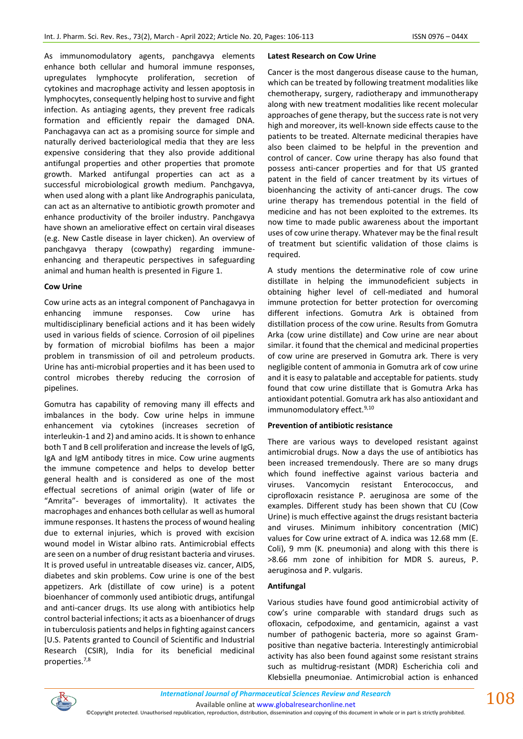As immunomodulatory agents, panchgavya elements enhance both cellular and humoral immune responses, upregulates lymphocyte proliferation, secretion of cytokines and macrophage activity and lessen apoptosis in lymphocytes, consequently helping host to survive and fight infection. As antiaging agents, they prevent free radicals formation and efficiently repair the damaged DNA. Panchagavya can act as a promising source for simple and naturally derived bacteriological media that they are less expensive considering that they also provide additional antifungal properties and other properties that promote growth. Marked antifungal properties can act as a successful microbiological growth medium. Panchgavya, when used along with a plant like Andrographis paniculata, can act as an alternative to antibiotic growth promoter and enhance productivity of the broiler industry. Panchgavya have shown an ameliorative effect on certain viral diseases (e.g. New Castle disease in layer chicken). An overview of panchgavya therapy (cowpathy) regarding immuneenhancing and therapeutic perspectives in safeguarding animal and human health is presented in Figure 1.

#### **Cow Urine**

Cow urine acts as an integral component of Panchagavya in enhancing immune responses. Cow urine has multidisciplinary beneficial actions and it has been widely used in various fields of science. Corrosion of oil pipelines by formation of microbial biofilms has been a major problem in transmission of oil and petroleum products. Urine has anti-microbial properties and it has been used to control microbes thereby reducing the corrosion of pipelines.

Gomutra has capability of removing many ill effects and imbalances in the body. Cow urine helps in immune enhancement via cytokines (increases secretion of interleukin-1 and 2) and amino acids. It is shown to enhance both T and B cell proliferation and increase the levels of IgG, IgA and IgM antibody titres in mice. Cow urine augments the immune competence and helps to develop better general health and is considered as one of the most effectual secretions of animal origin (water of life or "Amrita"- beverages of immortality). It activates the macrophages and enhances both cellular as well as humoral immune responses. It hastens the process of wound healing due to external injuries, which is proved with excision wound model in Wistar albino rats. Antimicrobial effects are seen on a number of drug resistant bacteria and viruses. It is proved useful in untreatable diseases viz. cancer, AIDS, diabetes and skin problems. Cow urine is one of the best appetizers. Ark (distillate of cow urine) is a potent bioenhancer of commonly used antibiotic drugs, antifungal and anti-cancer drugs. Its use along with antibiotics help control bacterial infections; it acts as a bioenhancer of drugs in tuberculosis patients and helps in fighting against cancers [U.S. Patents granted to Council of Scientific and Industrial Research (CSIR), India for its beneficial medicinal properties.7,8

#### **Latest Research on Cow Urine**

Cancer is the most dangerous disease cause to the human, which can be treated by following treatment modalities like chemotherapy, surgery, radiotherapy and immunotherapy along with new treatment modalities like recent molecular approaches of gene therapy, but the success rate is not very high and moreover, its well-known side effects cause to the patients to be treated. Alternate medicinal therapies have also been claimed to be helpful in the prevention and control of cancer. Cow urine therapy has also found that possess anti-cancer properties and for that US granted patent in the field of cancer treatment by its virtues of bioenhancing the activity of anti-cancer drugs. The cow urine therapy has tremendous potential in the field of medicine and has not been exploited to the extremes. Its now time to made public awareness about the important uses of cow urine therapy. Whatever may be the final result of treatment but scientific validation of those claims is required.

A study mentions the determinative role of cow urine distillate in helping the immunodeficient subjects in obtaining higher level of cell-mediated and humoral immune protection for better protection for overcoming different infections. Gomutra Ark is obtained from distillation process of the cow urine. Results from Gomutra Arka (cow urine distillate) and Cow urine are near about similar. it found that the chemical and medicinal properties of cow urine are preserved in Gomutra ark. There is very negligible content of ammonia in Gomutra ark of cow urine and it is easy to palatable and acceptable for patients. study found that cow urine distillate that is Gomutra Arka has antioxidant potential. Gomutra ark has also antioxidant and immunomodulatory effect.<sup>9,10</sup>

## **Prevention of antibiotic resistance**

There are various ways to developed resistant against antimicrobial drugs. Now a days the use of antibiotics has been increased tremendously. There are so many drugs which found ineffective against various bacteria and viruses. Vancomycin resistant Enterococcus, and ciprofloxacin resistance P. aeruginosa are some of the examples. Different study has been shown that CU (Cow Urine) is much effective against the drugs resistant bacteria and viruses. Minimum inhibitory concentration (MIC) values for Cow urine extract of A. indica was 12.68 mm (E. Coli), 9 mm (K. pneumonia) and along with this there is >8.66 mm zone of inhibition for MDR S. aureus, P. aeruginosa and P. vulgaris.

## **Antifungal**

Various studies have found good antimicrobial activity of cow's urine comparable with standard drugs such as ofloxacin, cefpodoxime, and gentamicin, against a vast number of pathogenic bacteria, more so against Grampositive than negative bacteria. Interestingly antimicrobial activity has also been found against some resistant strains such as multidrug-resistant (MDR) Escherichia coli and Klebsiella pneumoniae. Antimicrobial action is enhanced

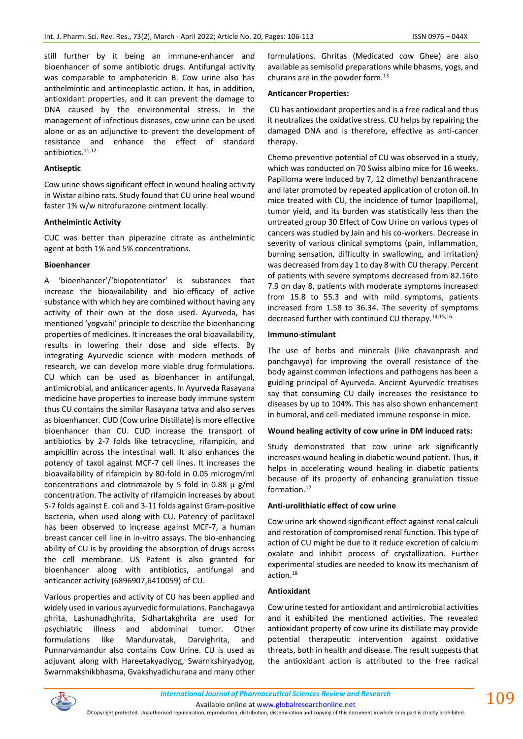still further by it being an immune-enhancer and bioenhancer of some antibiotic drugs. Antifungal activity was comparable to amphotericin B. Cow urine also has anthelmintic and antineoplastic action. It has, in addition, antioxidant properties, and it can prevent the damage to DNA caused by the environmental stress. In the management of infectious diseases, cow urine can be used alone or as an adjunctive to prevent the development of resistance and enhance the effect of standard antibiotics.<sup>11,12</sup>

#### **Antiseptic**

Cow urine shows significant effect in wound healing activity in Wistar albino rats. Study found that CU urine heal wound faster 1% w/w nitrofurazone ointment locally.

#### **Anthelmintic Activity**

CUC was better than piperazine citrate as anthelmintic agent at both 1% and 5% concentrations.

#### **Bioenhancer**

A 'bioenhancer'/'biopotentiator' is substances that increase the bioavailability and bio-efficacy of active substance with which hey are combined without having any activity of their own at the dose used. Ayurveda, has mentioned 'yogvahi' principle to describe the bioenhancing properties of medicines. It increases the oral bioavailability, results in lowering their dose and side effects. By integrating Ayurvedic science with modern methods of research, we can develop more viable drug formulations. CU which can be used as bioenhancer in antifungal, antimicrobial, and anticancer agents. In Ayurveda Rasayana medicine have properties to increase body immune system thus CU contains the similar Rasayana tatva and also serves as bioenhancer. CUD (Cow urine Distillate) is more effective bioenhancer than CU. CUD increase the transport of antibiotics by 2-7 folds like tetracycline, rifampicin, and ampicillin across the intestinal wall. It also enhances the potency of taxol against MCF-7 cell lines. It increases the bioavailability of rifampicin by 80-fold in 0.05 microgm/ml concentrations and clotrimazole by 5 fold in 0.88  $\mu$  g/ml concentration. The activity of rifampicin increases by about 5-7 folds against E. coli and 3-11 folds against Gram-positive bacteria, when used along with CU. Potency of paclitaxel has been observed to increase against MCF-7, a human breast cancer cell line in in-vitro assays. The bio-enhancing ability of CU is by providing the absorption of drugs across the cell membrane. US Patent is also granted for bioenhancer along with antibiotics, antifungal and anticancer activity (6896907,6410059) of CU.

Various properties and activity of CU has been applied and widely used in various ayurvedic formulations. Panchagavya ghrita, Lashunadhghrita, Sidhartakghrita are used for psychiatric illness and abdominal tumor. Other formulations like Mandurvatak, Darvighrita, and Punnarvamandur also contains Cow Urine. CU is used as adjuvant along with Hareetakyadiyog, Swarnkshiryadyog, Swarnmakshikbhasma, Gvakshyadichurana and many other formulations. Ghritas (Medicated cow Ghee) are also available as semisolid preparations while bhasms, yogs, and churans are in the powder form.<sup>13</sup>

#### **Anticancer Properties:**

CU has antioxidant properties and is a free radical and thus it neutralizes the oxidative stress. CU helps by repairing the damaged DNA and is therefore, effective as anti-cancer therapy.

Chemo preventive potential of CU was observed in a study, which was conducted on 70 Swiss albino mice for 16 weeks. Papilloma were induced by 7, 12 dimethyl benzanthracene and later promoted by repeated application of croton oil. In mice treated with CU, the incidence of tumor (papilloma), tumor yield, and its burden was statistically less than the untreated group 30 Effect of Cow Urine on various types of cancers was studied by Jain and his co-workers. Decrease in severity of various clinical symptoms (pain, inflammation, burning sensation, difficulty in swallowing, and irritation) was decreased from day 1 to day 8 with CU therapy. Percent of patients with severe symptoms decreased from 82.16to 7.9 on day 8, patients with moderate symptoms increased from 15.8 to 55.3 and with mild symptoms, patients increased from 1.58 to 36.34. The severity of symptoms decreased further with continued CU therapy.14,15,16

#### **Immuno-stimulant**

The use of herbs and minerals (like chavanprash and panchgavya) for improving the overall resistance of the body against common infections and pathogens has been a guiding principal of Ayurveda. Ancient Ayurvedic treatises say that consuming CU daily increases the resistance to diseases by up to 104%. This has also shown enhancement in humoral, and cell-mediated immune response in mice.

## **Wound healing activity of cow urine in DM induced rats:**

Study demonstrated that cow urine ark significantly increases wound healing in diabetic wound patient. Thus, it helps in accelerating wound healing in diabetic patients because of its property of enhancing granulation tissue formation.<sup>17</sup>

## **Anti-urolithiatic effect of cow urine**

Cow urine ark showed significant effect against renal calculi and restoration of compromised renal function. This type of action of CU might be due to it reduce excretion of calcium oxalate and inhibit process of crystallization. Further experimental studies are needed to know its mechanism of action.<sup>18</sup>

#### **Antioxidant**

Cow urine tested for antioxidant and antimicrobial activities and it exhibited the mentioned activities. The revealed antioxidant property of cow urine its distillate may provide potential therapeutic intervention against oxidative threats, both in health and disease. The result suggests that the antioxidant action is attributed to the free radical



Available online a[t www.globalresearchonline.net](http://www.globalresearchonline.net/)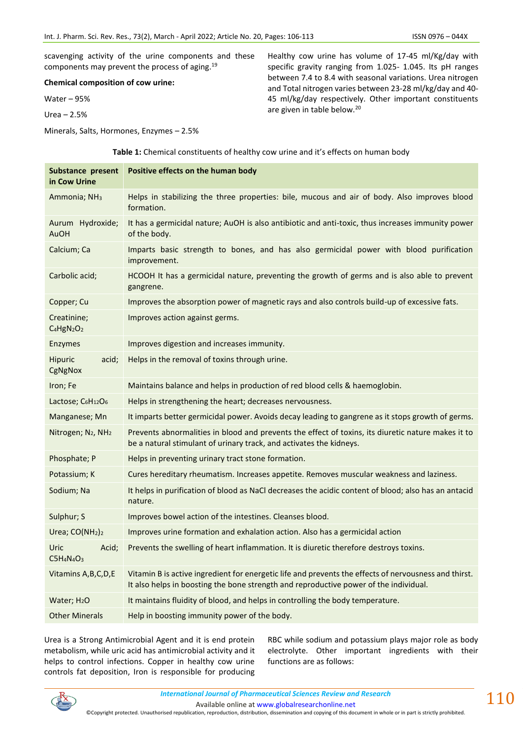scavenging activity of the urine components and these components may prevent the process of aging.<sup>19</sup>

**Chemical composition of cow urine:**

Water – 95%

Urea – 2.5%

Minerals, Salts, Hormones, Enzymes – 2.5%

Healthy cow urine has volume of 17-45 ml/Kg/day with specific gravity ranging from 1.025- 1.045. Its pH ranges between 7.4 to 8.4 with seasonal variations. Urea nitrogen and Total nitrogen varies between 23-28 ml/kg/day and 40- 45 ml/kg/day respectively. Other important constituents are given in table below.<sup>20</sup>

**Table 1:** Chemical constituents of healthy cow urine and it's effects on human body

| Substance present<br>in Cow Urine                             | Positive effects on the human body                                                                                                                                                             |
|---------------------------------------------------------------|------------------------------------------------------------------------------------------------------------------------------------------------------------------------------------------------|
| Ammonia; NH <sub>3</sub>                                      | Helps in stabilizing the three properties: bile, mucous and air of body. Also improves blood<br>formation.                                                                                     |
| Aurum Hydroxide;<br><b>AuOH</b>                               | It has a germicidal nature; AuOH is also antibiotic and anti-toxic, thus increases immunity power<br>of the body.                                                                              |
| Calcium; Ca                                                   | Imparts basic strength to bones, and has also germicidal power with blood purification<br>improvement.                                                                                         |
| Carbolic acid;                                                | HCOOH It has a germicidal nature, preventing the growth of germs and is also able to prevent<br>gangrene.                                                                                      |
| Copper; Cu                                                    | Improves the absorption power of magnetic rays and also controls build-up of excessive fats.                                                                                                   |
| Creatinine;<br>C <sub>4</sub> HgN <sub>2</sub> O <sub>2</sub> | Improves action against germs.                                                                                                                                                                 |
| <b>Enzymes</b>                                                | Improves digestion and increases immunity.                                                                                                                                                     |
| Hipuric<br>acid;<br>CgNgNox                                   | Helps in the removal of toxins through urine.                                                                                                                                                  |
| Iron; Fe                                                      | Maintains balance and helps in production of red blood cells & haemoglobin.                                                                                                                    |
| Lactose; $C_6H_{12}O_6$                                       | Helps in strengthening the heart; decreases nervousness.                                                                                                                                       |
| Manganese; Mn                                                 | It imparts better germicidal power. Avoids decay leading to gangrene as it stops growth of germs.                                                                                              |
| Nitrogen; N <sub>2</sub> , NH <sub>2</sub>                    | Prevents abnormalities in blood and prevents the effect of toxins, its diuretic nature makes it to<br>be a natural stimulant of urinary track, and activates the kidneys.                      |
| Phosphate; P                                                  | Helps in preventing urinary tract stone formation.                                                                                                                                             |
| Potassium; K                                                  | Cures hereditary rheumatism. Increases appetite. Removes muscular weakness and laziness.                                                                                                       |
| Sodium; Na                                                    | It helps in purification of blood as NaCl decreases the acidic content of blood; also has an antacid<br>nature.                                                                                |
| Sulphur; S                                                    | Improves bowel action of the intestines. Cleanses blood.                                                                                                                                       |
| Urea; CO(NH <sub>2</sub> ) <sub>2</sub>                       | Improves urine formation and exhalation action. Also has a germicidal action                                                                                                                   |
| Uric<br>Acid;<br>$C5H_4N_4O_3$                                | Prevents the swelling of heart inflammation. It is diuretic therefore destroys toxins.                                                                                                         |
| Vitamins A, B, C, D, E                                        | Vitamin B is active ingredient for energetic life and prevents the effects of nervousness and thirst.<br>It also helps in boosting the bone strength and reproductive power of the individual. |
| Water; H <sub>2</sub> O                                       | It maintains fluidity of blood, and helps in controlling the body temperature.                                                                                                                 |
| <b>Other Minerals</b>                                         | Help in boosting immunity power of the body.                                                                                                                                                   |

Urea is a Strong Antimicrobial Agent and it is end protein metabolism, while uric acid has antimicrobial activity and it helps to control infections. Copper in healthy cow urine controls fat deposition, Iron is responsible for producing

RBC while sodium and potassium plays major role as body electrolyte. Other important ingredients with their functions are as follows:



*International Journal of Pharmaceutical Sciences Review and Research International Journal of Pharmaceutical Sciences Review and Research*

110

Available online a[t www.globalresearchonline.net](http://www.globalresearchonline.net/) ©Copyright protected. Unauthorised republication, reproduction, distribution, dissemination and copying of this document in whole or in part is strictly prohibited.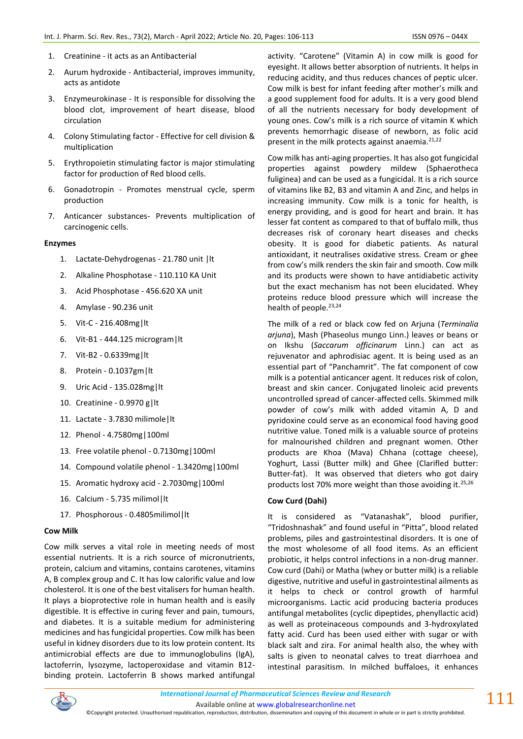- 1. Creatinine it acts as an Antibacterial
- 2. Aurum hydroxide Antibacterial, improves immunity, acts as antidote
- 3. Enzymeurokinase It is responsible for dissolving the blood clot, improvement of heart disease, blood circulation
- 4. Colony Stimulating factor Effective for cell division & multiplication
- 5. Erythropoietin stimulating factor is major stimulating factor for production of Red blood cells.
- 6. Gonadotropin Promotes menstrual cycle, sperm production
- 7. Anticancer substances- Prevents multiplication of carcinogenic cells.

#### **Enzymes**

- 1. Lactate-Dehydrogenas 21.780 unit |lt
- 2. Alkaline Phosphotase 110.110 KA Unit
- 3. Acid Phosphotase 456.620 XA unit
- 4. Amylase 90.236 unit
- 5. Vit-C 216.408mg|lt
- 6. Vit-B1 444.125 microgram|lt
- 7. Vit-B2 0.6339mg|lt
- 8. Protein 0.1037gm|lt
- 9. Uric Acid 135.028mg|lt
- 10. Creatinine 0.9970 g|lt
- 11. Lactate 3.7830 milimole|lt
- 12. Phenol 4.7580mg|100ml
- 13. Free volatile phenol 0.7130mg|100ml
- 14. Compound volatile phenol 1.3420mg|100ml
- 15. Aromatic hydroxy acid 2.7030mg|100ml
- 16. Calcium 5.735 milimol|lt
- 17. Phosphorous 0.4805milimol|lt

#### **Cow Milk**

Cow milk serves a vital role in meeting needs of most essential nutrients. It is a rich source of micronutrients, protein, calcium and vitamins, contains carotenes, vitamins A, B complex group and C. It has low calorific value and low cholesterol. It is one of the best vitalisers for human health. It plays a bioprotective role in human health and is easily digestible. It is effective in curing fever and pain, tumours, and diabetes. It is a suitable medium for administering medicines and has fungicidal properties. Cow milk has been useful in kidney disorders due to its low protein content. Its antimicrobial effects are due to immunoglobulins (IgA), lactoferrin, lysozyme, lactoperoxidase and vitamin B12 binding protein. Lactoferrin B shows marked antifungal activity. "Carotene" (Vitamin A) in cow milk is good for eyesight. It allows better absorption of nutrients. It helps in reducing acidity, and thus reduces chances of peptic ulcer. Cow milk is best for infant feeding after mother's milk and a good supplement food for adults. It is a very good blend of all the nutrients necessary for body development of young ones. Cow's milk is a rich source of vitamin K which prevents hemorrhagic disease of newborn, as folic acid present in the milk protects against anaemia.<sup>21,22</sup>

Cow milk has anti-aging properties. It has also got fungicidal properties against powdery mildew (Sphaerotheca fuliginea) and can be used as a fungicidal. It is a rich source of vitamins like B2, B3 and vitamin A and Zinc, and helps in increasing immunity. Cow milk is a tonic for health, is energy providing, and is good for heart and brain. It has lesser fat content as compared to that of buffalo milk, thus decreases risk of coronary heart diseases and checks obesity. It is good for diabetic patients. As natural antioxidant, it neutralises oxidative stress. Cream or ghee from cow's milk renders the skin fair and smooth. Cow milk and its products were shown to have antidiabetic activity but the exact mechanism has not been elucidated. Whey proteins reduce blood pressure which will increase the health of people. $23,24$ 

The milk of a red or black cow fed on Arjuna (*Terminalia arjuna*), Mash (Phaseolus mungo Linn.) leaves or beans or on Ikshu (*Saccarum officinarum* Linn.) can act as rejuvenator and aphrodisiac agent. It is being used as an essential part of "Panchamrit". The fat component of cow milk is a potential anticancer agent. It reduces risk of colon, breast and skin cancer. Conjugated linoleic acid prevents uncontrolled spread of cancer-affected cells. Skimmed milk powder of cow's milk with added vitamin A, D and pyridoxine could serve as an economical food having good nutritive value. Toned milk is a valuable source of proteins for malnourished children and pregnant women. Other products are Khoa (Mava) Chhana (cottage cheese), Yoghurt, Lassi (Butter milk) and Ghee (Clarifled butter: Butter-fat). It was observed that dieters who got dairy products lost 70% more weight than those avoiding it.<sup>25,26</sup>

#### **Cow Curd (Dahi)**

It is considered as "Vatanashak", blood purifier, "Tridoshnashak" and found useful in "Pitta", blood related problems, piles and gastrointestinal disorders. It is one of the most wholesome of all food items. As an efficient probiotic, it helps control infections in a non-drug manner. Cow curd (Dahi) or Matha (whey or butter milk) is a reliable digestive, nutritive and useful in gastrointestinal ailments as it helps to check or control growth of harmful microorganisms. Lactic acid producing bacteria produces antifungal metabolites (cyclic dipeptides, phenyllactic acid) as well as proteinaceous compounds and 3-hydroxylated fatty acid. Curd has been used either with sugar or with black salt and zira. For animal health also, the whey with salts is given to neonatal calves to treat diarrhoea and intestinal parasitism. In milched buffaloes, it enhances



<sup>©</sup>Copyright protected. Unauthorised republication, reproduction, distribution, dissemination and copying of this document in whole or in part is strictly prohibited.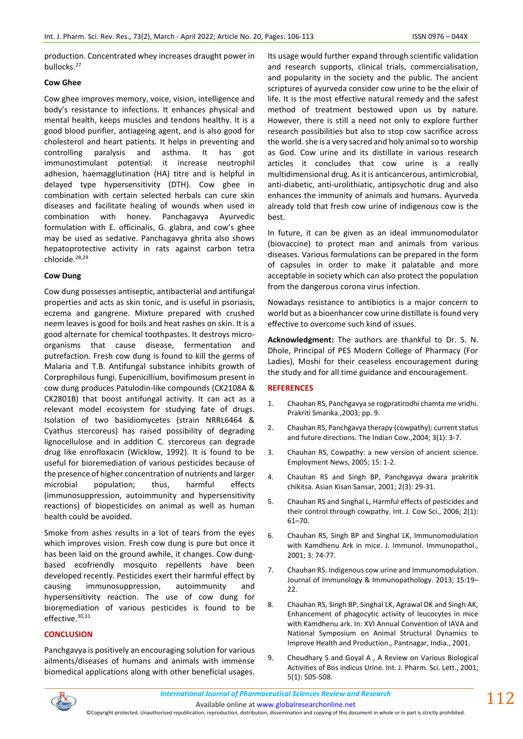production. Concentrated whey increases draught power in bullocks.<sup>27</sup>

### **Cow Ghee**

Cow ghee improves memory, voice, vision, intelligence and body's resistance to infections. It enhances physical and mental health, keeps muscles and tendons healthy. It is a good blood purifier, antiageing agent, and is also good for cholesterol and heart patients. It helps in preventing and controlling paralysis and asthma. It has got immunostimulant potential: it increase neutrophil adhesion, haemagglutination (HA) titre and is helpful in delayed type hypersensitivity (DTH). Cow ghee in combination with certain selected herbals can cure skin diseases and facilitate healing of wounds when used in combination with honey. Panchagavya Ayurvedic formulation with E. officinalis, G. glabra, and cow's ghee may be used as sedative. Panchagavya ghrita also shows hepatoprotective activity in rats against carbon tetra chloride.28,29

#### **Cow Dung**

Cow dung possesses antiseptic, antibacterial and antifungal properties and acts as skin tonic, and is useful in psoriasis, eczema and gangrene. Mixture prepared with crushed neem leaves is good for boils and heat rashes on skin. It is a good alternate for chemical toothpastes. It destroys microorganisms that cause disease, fermentation and putrefaction. Fresh cow dung is found to kill the germs of Malaria and T.B. Antifungal substance inhibits growth of Corprophilous fungi. Eupenicillium, bovifimosum present in cow dung produces Patulodin-like compounds (CK2108A & CK2801B) that boost antifungal activity. It can act as a relevant model ecosystem for studying fate of drugs. Isolation of two basidiomycetes (strain NRRL6464 & Cyathus stercoreus) has raised possibility of degrading lignocellulose and in addition C. stercoreus can degrade drug like enrofloxacin (Wicklow, 1992). It is found to be useful for bioremediation of various pesticides because of the presence of higher concentration of nutrients and larger microbial population; thus, harmful effects (immunosuppression, autoimmunity and hypersensitivity reactions) of biopesticides on animal as well as human health could be avoided.

Smoke from ashes results in a lot of tears from the eyes which improves vision. Fresh cow dung is pure but once it has been laid on the ground awhile, it changes. Cow dungbased ecofriendly mosquito repellents have been developed recently. Pesticides exert their harmful effect by causing immunosuppression, autoimmunity and hypersensitivity reaction. The use of cow dung for bioremediation of various pesticides is found to be effective.<sup>30,31</sup>

## **CONCLUSION**

Panchgavya is positively an encouraging solution for various ailments/diseases of humans and animals with immense biomedical applications along with other beneficial usages.

Its usage would further expand through scientific validation and research supports, clinical trials, commercialisation, and popularity in the society and the public. The ancient scriptures of ayurveda consider cow urine to be the elixir of life. It is the most effective natural remedy and the safest method of treatment bestowed upon us by nature. However, there is still a need not only to explore further research possibilities but also to stop cow sacrifice across the world. she is a very sacred and holy animal so to worship as God. Cow urine and its distillate in various research articles it concludes that cow urine is a really multidimensional drug. As it is anticancerous, antimicrobial, anti-diabetic, anti-urolithiatic, antipsychotic drug and also enhances the immunity of animals and humans. Ayurveda already told that fresh cow urine of indigenous cow is the best.

In future, it can be given as an ideal immunomodulator (biovaccine) to protect man and animals from various diseases. Various formulations can be prepared in the form of capsules in order to make it palatable and more acceptable in society which can also protect the population from the dangerous corona virus infection.

Nowadays resistance to antibiotics is a major concern to world but as a bioenhancer cow urine distillate is found very effective to overcome such kind of issues.

**Acknowledgment:** The authors are thankful to Dr. S. N. Dhole, Principal of PES Modern College of Pharmacy (For Ladies), Moshi for their ceaseless encouragement during the study and for all time guidance and encouragement.

#### **REFERENCES**

- 1. Chauhan RS, Panchgavya se rogpratirodhi chamta me vridhi. Prakriti Smarika.,2003; pp. 9.
- 2. Chauhan RS, Panchgavya therapy (cowpathy): current status and future directions. The Indian Cow.,2004; 3(1): 3-7.
- 3. Chauhan RS, Cowpathy: a new version of ancient science. Employment News, 2005; 15: 1-2.
- 4. Chauhan RS and Singh BP, Panchgavya dwara prakritik chikitsa. Asian Kisan Sansar, 2001; 2(3): 29-31.
- 5. Chauhan RS and Singhal L, Harmful effects of pesticides and their control through cowpathy. Int. J. Cow Sci., 2006; 2(1): 61–70.
- 6. Chauhan RS, Singh BP and Singhal LK, Immunomodulation with Kamdhenu Ark in mice. J. Immunol. Immunopathol., 2001; 3: 74-77.
- 7. Chauhan RS. Indigenous cow urine and Immunomodulation. Journal of Immunology & Immunopathology. 2013; 15:19-22.
- 8. Chauhan RS, Singh BP, Singhal LK, Agrawal DK and Singh AK, Enhancement of phagocytic activity of leucocytes in mice with Kamdhenu ark. In: XVI Annual Convention of IAVA and National Symposium on Animal Structural Dynamics to Improve Health and Production., Pantnagar, India., 2001.
- 9. Choudhary S and Goyal A , A Review on Various Biological Activities of Bos indicus Urine. Int. J. Pharm. Sci. Lett., 2001; 5(1): 505-508.



Available online a[t www.globalresearchonline.net](http://www.globalresearchonline.net/)